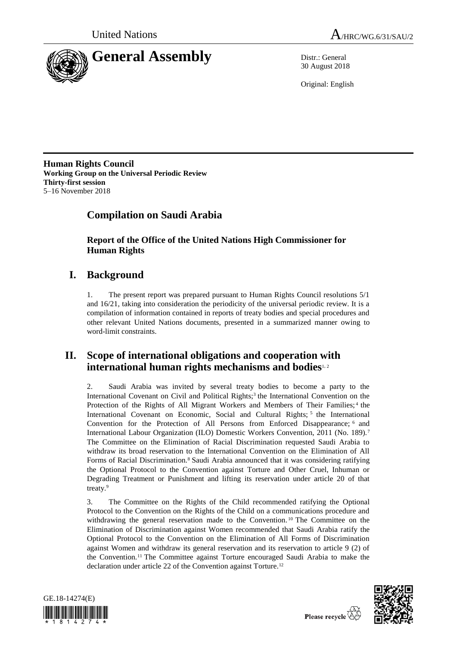



30 August 2018

Original: English

**Human Rights Council Working Group on the Universal Periodic Review Thirty-first session** 5–16 November 2018

# **Compilation on Saudi Arabia**

# **Report of the Office of the United Nations High Commissioner for Human Rights**

# **I. Background**

1. The present report was prepared pursuant to Human Rights Council resolutions 5/1 and 16/21, taking into consideration the periodicity of the universal periodic review. It is a compilation of information contained in reports of treaty bodies and special procedures and other relevant United Nations documents, presented in a summarized manner owing to word-limit constraints.

# **II. Scope of international obligations and cooperation with international human rights mechanisms and bodies**1, <sup>2</sup>

2. Saudi Arabia was invited by several treaty bodies to become a party to the International Covenant on Civil and Political Rights;<sup>3</sup> the International Convention on the Protection of the Rights of All Migrant Workers and Members of Their Families;<sup>4</sup> the International Covenant on Economic, Social and Cultural Rights; <sup>5</sup> the International Convention for the Protection of All Persons from Enforced Disappearance; <sup>6</sup> and International Labour Organization (ILO) Domestic Workers Convention, 2011 (No. 189).<sup>7</sup> The Committee on the Elimination of Racial Discrimination requested Saudi Arabia to withdraw its broad reservation to the International Convention on the Elimination of All Forms of Racial Discrimination.<sup>8</sup> Saudi Arabia announced that it was considering ratifying the Optional Protocol to the Convention against Torture and Other Cruel, Inhuman or Degrading Treatment or Punishment and lifting its reservation under article 20 of that treaty.<sup>9</sup>

3. The Committee on the Rights of the Child recommended ratifying the Optional Protocol to the Convention on the Rights of the Child on a communications procedure and withdrawing the general reservation made to the Convention. <sup>10</sup> The Committee on the Elimination of Discrimination against Women recommended that Saudi Arabia ratify the Optional Protocol to the Convention on the Elimination of All Forms of Discrimination against Women and withdraw its general reservation and its reservation to article 9 (2) of the Convention.<sup>11</sup> The Committee against Torture encouraged Saudi Arabia to make the declaration under article 22 of the Convention against Torture.<sup>12</sup>



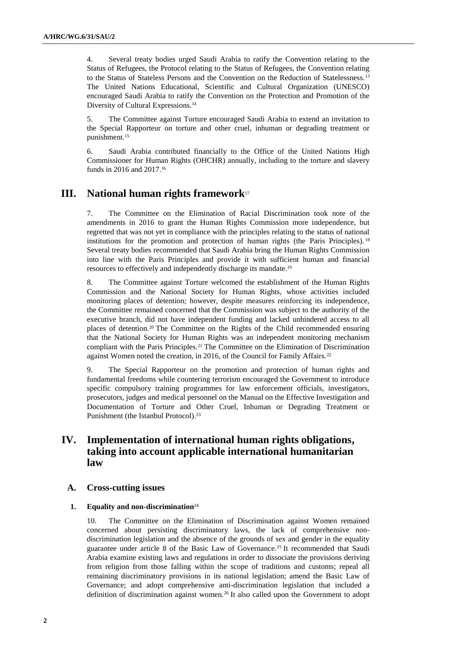4. Several treaty bodies urged Saudi Arabia to ratify the Convention relating to the Status of Refugees, the Protocol relating to the Status of Refugees, the Convention relating to the Status of Stateless Persons and the Convention on the Reduction of Statelessness.<sup>13</sup> The United Nations Educational, Scientific and Cultural Organization (UNESCO) encouraged Saudi Arabia to ratify the Convention on the Protection and Promotion of the Diversity of Cultural Expressions.<sup>14</sup>

5. The Committee against Torture encouraged Saudi Arabia to extend an invitation to the Special Rapporteur on torture and other cruel, inhuman or degrading treatment or punishment.<sup>15</sup>

6. Saudi Arabia contributed financially to the Office of the United Nations High Commissioner for Human Rights (OHCHR) annually, including to the torture and slavery funds in 2016 and 2017.<sup>16</sup>

## **III. National human rights framework**<sup>17</sup>

7. The Committee on the Elimination of Racial Discrimination took note of the amendments in 2016 to grant the Human Rights Commission more independence, but regretted that was not yet in compliance with the principles relating to the status of national institutions for the promotion and protection of human rights (the Paris Principles).  $18$ Several treaty bodies recommended that Saudi Arabia bring the Human Rights Commission into line with the Paris Principles and provide it with sufficient human and financial resources to effectively and independently discharge its mandate.<sup>19</sup>

8. The Committee against Torture welcomed the establishment of the Human Rights Commission and the National Society for Human Rights, whose activities included monitoring places of detention; however, despite measures reinforcing its independence, the Committee remained concerned that the Commission was subject to the authority of the executive branch, did not have independent funding and lacked unhindered access to all places of detention.<sup>20</sup> The Committee on the Rights of the Child recommended ensuring that the National Society for Human Rights was an independent monitoring mechanism compliant with the Paris Principles.<sup>21</sup> The Committee on the Elimination of Discrimination against Women noted the creation, in 2016, of the Council for Family Affairs.<sup>22</sup>

9. The Special Rapporteur on the promotion and protection of human rights and fundamental freedoms while countering terrorism encouraged the Government to introduce specific compulsory training programmes for law enforcement officials, investigators, prosecutors, judges and medical personnel on the Manual on the Effective Investigation and Documentation of Torture and Other Cruel, Inhuman or Degrading Treatment or Punishment (the Istanbul Protocol).<sup>23</sup>

# **IV. Implementation of international human rights obligations, taking into account applicable international humanitarian law**

### **A. Cross-cutting issues**

#### **1. Equality and non-discrimination**<sup>24</sup>

10. The Committee on the Elimination of Discrimination against Women remained concerned about persisting discriminatory laws, the lack of comprehensive nondiscrimination legislation and the absence of the grounds of sex and gender in the equality guarantee under article 8 of the Basic Law of Governance.<sup>25</sup> It recommended that Saudi Arabia examine existing laws and regulations in order to dissociate the provisions deriving from religion from those falling within the scope of traditions and customs; repeal all remaining discriminatory provisions in its national legislation; amend the Basic Law of Governance; and adopt comprehensive anti-discrimination legislation that included a definition of discrimination against women.<sup>26</sup> It also called upon the Government to adopt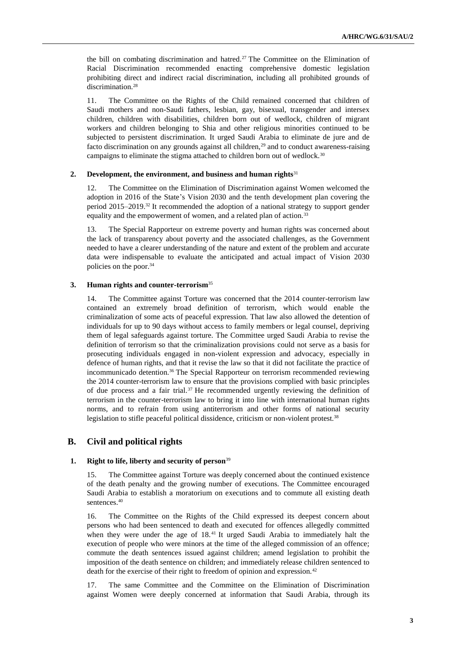the bill on combating discrimination and hatred.<sup>27</sup> The Committee on the Elimination of Racial Discrimination recommended enacting comprehensive domestic legislation prohibiting direct and indirect racial discrimination, including all prohibited grounds of discrimination.<sup>28</sup>

11. The Committee on the Rights of the Child remained concerned that children of Saudi mothers and non-Saudi fathers, lesbian, gay, bisexual, transgender and intersex children, children with disabilities, children born out of wedlock, children of migrant workers and children belonging to Shia and other religious minorities continued to be subjected to persistent discrimination. It urged Saudi Arabia to eliminate de jure and de facto discrimination on any grounds against all children,<sup>29</sup> and to conduct awareness-raising campaigns to eliminate the stigma attached to children born out of wedlock.<sup>30</sup>

#### **2. Development, the environment, and business and human rights**<sup>31</sup>

The Committee on the Elimination of Discrimination against Women welcomed the adoption in 2016 of the State's Vision 2030 and the tenth development plan covering the period 2015–2019.<sup>32</sup> It recommended the adoption of a national strategy to support gender equality and the empowerment of women, and a related plan of action.<sup>33</sup>

13. The Special Rapporteur on extreme poverty and human rights was concerned about the lack of transparency about poverty and the associated challenges, as the Government needed to have a clearer understanding of the nature and extent of the problem and accurate data were indispensable to evaluate the anticipated and actual impact of Vision 2030 policies on the poor.<sup>34</sup>

#### **3. Human rights and counter-terrorism**<sup>35</sup>

14. The Committee against Torture was concerned that the 2014 counter-terrorism law contained an extremely broad definition of terrorism, which would enable the criminalization of some acts of peaceful expression. That law also allowed the detention of individuals for up to 90 days without access to family members or legal counsel, depriving them of legal safeguards against torture. The Committee urged Saudi Arabia to revise the definition of terrorism so that the criminalization provisions could not serve as a basis for prosecuting individuals engaged in non-violent expression and advocacy, especially in defence of human rights, and that it revise the law so that it did not facilitate the practice of incommunicado detention.<sup>36</sup> The Special Rapporteur on terrorism recommended reviewing the 2014 counter-terrorism law to ensure that the provisions complied with basic principles of due process and a fair trial.<sup>37</sup> He recommended urgently reviewing the definition of terrorism in the counter-terrorism law to bring it into line with international human rights norms, and to refrain from using antiterrorism and other forms of national security legislation to stifle peaceful political dissidence, criticism or non-violent protest.<sup>38</sup>

## **B. Civil and political rights**

#### **1. Right to life, liberty and security of person**<sup>39</sup>

15. The Committee against Torture was deeply concerned about the continued existence of the death penalty and the growing number of executions. The Committee encouraged Saudi Arabia to establish a moratorium on executions and to commute all existing death sentences.<sup>40</sup>

16. The Committee on the Rights of the Child expressed its deepest concern about persons who had been sentenced to death and executed for offences allegedly committed when they were under the age of 18.<sup>41</sup> It urged Saudi Arabia to immediately halt the execution of people who were minors at the time of the alleged commission of an offence; commute the death sentences issued against children; amend legislation to prohibit the imposition of the death sentence on children; and immediately release children sentenced to death for the exercise of their right to freedom of opinion and expression.<sup>42</sup>

17. The same Committee and the Committee on the Elimination of Discrimination against Women were deeply concerned at information that Saudi Arabia, through its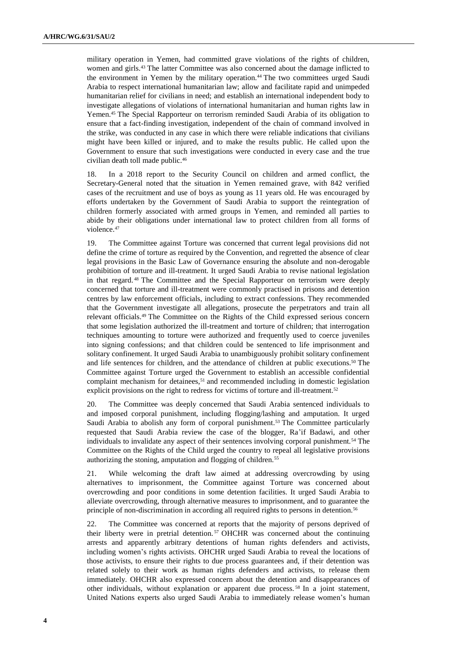military operation in Yemen, had committed grave violations of the rights of children, women and girls.<sup>43</sup> The latter Committee was also concerned about the damage inflicted to the environment in Yemen by the military operation.<sup>44</sup> The two committees urged Saudi Arabia to respect international humanitarian law; allow and facilitate rapid and unimpeded humanitarian relief for civilians in need; and establish an international independent body to investigate allegations of violations of international humanitarian and human rights law in Yemen.<sup>45</sup> The Special Rapporteur on terrorism reminded Saudi Arabia of its obligation to ensure that a fact-finding investigation, independent of the chain of command involved in the strike, was conducted in any case in which there were reliable indications that civilians might have been killed or injured, and to make the results public. He called upon the Government to ensure that such investigations were conducted in every case and the true civilian death toll made public.<sup>46</sup>

18. In a 2018 report to the Security Council on children and armed conflict, the Secretary-General noted that the situation in Yemen remained grave, with 842 verified cases of the recruitment and use of boys as young as 11 years old. He was encouraged by efforts undertaken by the Government of Saudi Arabia to support the reintegration of children formerly associated with armed groups in Yemen, and reminded all parties to abide by their obligations under international law to protect children from all forms of violence.<sup>47</sup>

19. The Committee against Torture was concerned that current legal provisions did not define the crime of torture as required by the Convention, and regretted the absence of clear legal provisions in the Basic Law of Governance ensuring the absolute and non-derogable prohibition of torture and ill-treatment. It urged Saudi Arabia to revise national legislation in that regard. <sup>48</sup> The Committee and the Special Rapporteur on terrorism were deeply concerned that torture and ill-treatment were commonly practised in prisons and detention centres by law enforcement officials, including to extract confessions. They recommended that the Government investigate all allegations, prosecute the perpetrators and train all relevant officials.<sup>49</sup> The Committee on the Rights of the Child expressed serious concern that some legislation authorized the ill-treatment and torture of children; that interrogation techniques amounting to torture were authorized and frequently used to coerce juveniles into signing confessions; and that children could be sentenced to life imprisonment and solitary confinement. It urged Saudi Arabia to unambiguously prohibit solitary confinement and life sentences for children, and the attendance of children at public executions.<sup>50</sup> The Committee against Torture urged the Government to establish an accessible confidential complaint mechanism for detainees, $51$  and recommended including in domestic legislation explicit provisions on the right to redress for victims of torture and ill-treatment.<sup>52</sup>

20. The Committee was deeply concerned that Saudi Arabia sentenced individuals to and imposed corporal punishment, including flogging/lashing and amputation. It urged Saudi Arabia to abolish any form of corporal punishment.<sup>53</sup> The Committee particularly requested that Saudi Arabia review the case of the blogger, Ra'if Badawi, and other individuals to invalidate any aspect of their sentences involving corporal punishment.<sup>54</sup> The Committee on the Rights of the Child urged the country to repeal all legislative provisions authorizing the stoning, amputation and flogging of children.<sup>55</sup>

21. While welcoming the draft law aimed at addressing overcrowding by using alternatives to imprisonment, the Committee against Torture was concerned about overcrowding and poor conditions in some detention facilities. It urged Saudi Arabia to alleviate overcrowding, through alternative measures to imprisonment, and to guarantee the principle of non-discrimination in according all required rights to persons in detention.<sup>56</sup>

22. The Committee was concerned at reports that the majority of persons deprived of their liberty were in pretrial detention. <sup>57</sup> OHCHR was concerned about the continuing arrests and apparently arbitrary detentions of human rights defenders and activists, including women's rights activists. OHCHR urged Saudi Arabia to reveal the locations of those activists, to ensure their rights to due process guarantees and, if their detention was related solely to their work as human rights defenders and activists, to release them immediately. OHCHR also expressed concern about the detention and disappearances of other individuals, without explanation or apparent due process. <sup>58</sup> In a joint statement, United Nations experts also urged Saudi Arabia to immediately release women's human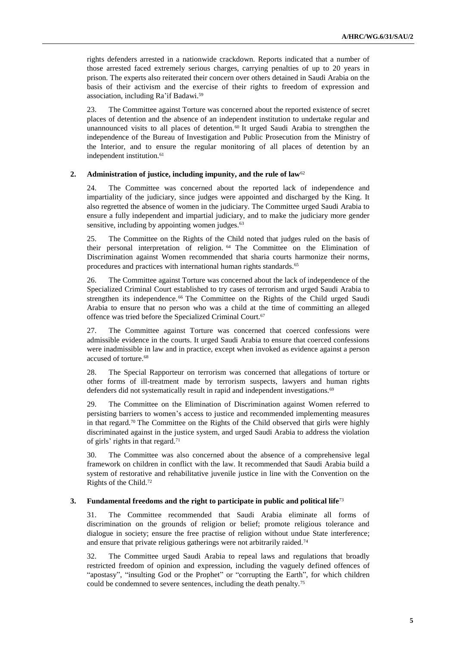rights defenders arrested in a nationwide crackdown. Reports indicated that a number of those arrested faced extremely serious charges, carrying penalties of up to 20 years in prison. The experts also reiterated their concern over others detained in Saudi Arabia on the basis of their activism and the exercise of their rights to freedom of expression and association, including Ra'if Badawi.<sup>59</sup>

23. The Committee against Torture was concerned about the reported existence of secret places of detention and the absence of an independent institution to undertake regular and unannounced visits to all places of detention.<sup>60</sup> It urged Saudi Arabia to strengthen the independence of the Bureau of Investigation and Public Prosecution from the Ministry of the Interior, and to ensure the regular monitoring of all places of detention by an independent institution.<sup>61</sup>

#### **2. Administration of justice, including impunity, and the rule of law**<sup>62</sup>

24. The Committee was concerned about the reported lack of independence and impartiality of the judiciary, since judges were appointed and discharged by the King. It also regretted the absence of women in the judiciary. The Committee urged Saudi Arabia to ensure a fully independent and impartial judiciary, and to make the judiciary more gender sensitive, including by appointing women judges.<sup>63</sup>

25. The Committee on the Rights of the Child noted that judges ruled on the basis of their personal interpretation of religion. <sup>64</sup> The Committee on the Elimination of Discrimination against Women recommended that sharia courts harmonize their norms, procedures and practices with international human rights standards.<sup>65</sup>

26. The Committee against Torture was concerned about the lack of independence of the Specialized Criminal Court established to try cases of terrorism and urged Saudi Arabia to strengthen its independence.<sup>66</sup> The Committee on the Rights of the Child urged Saudi Arabia to ensure that no person who was a child at the time of committing an alleged offence was tried before the Specialized Criminal Court.<sup>67</sup>

27. The Committee against Torture was concerned that coerced confessions were admissible evidence in the courts. It urged Saudi Arabia to ensure that coerced confessions were inadmissible in law and in practice, except when invoked as evidence against a person accused of torture.<sup>68</sup>

28. The Special Rapporteur on terrorism was concerned that allegations of torture or other forms of ill-treatment made by terrorism suspects, lawyers and human rights defenders did not systematically result in rapid and independent investigations.<sup>69</sup>

29. The Committee on the Elimination of Discrimination against Women referred to persisting barriers to women's access to justice and recommended implementing measures in that regard.<sup>70</sup> The Committee on the Rights of the Child observed that girls were highly discriminated against in the justice system, and urged Saudi Arabia to address the violation of girls' rights in that regard.<sup>71</sup>

30. The Committee was also concerned about the absence of a comprehensive legal framework on children in conflict with the law. It recommended that Saudi Arabia build a system of restorative and rehabilitative juvenile justice in line with the Convention on the Rights of the Child.<sup>72</sup>

#### **3. Fundamental freedoms and the right to participate in public and political life**<sup>73</sup>

31. The Committee recommended that Saudi Arabia eliminate all forms of discrimination on the grounds of religion or belief; promote religious tolerance and dialogue in society; ensure the free practise of religion without undue State interference; and ensure that private religious gatherings were not arbitrarily raided.<sup>74</sup>

32. The Committee urged Saudi Arabia to repeal laws and regulations that broadly restricted freedom of opinion and expression, including the vaguely defined offences of "apostasy", "insulting God or the Prophet" or "corrupting the Earth", for which children could be condemned to severe sentences, including the death penalty.<sup>75</sup>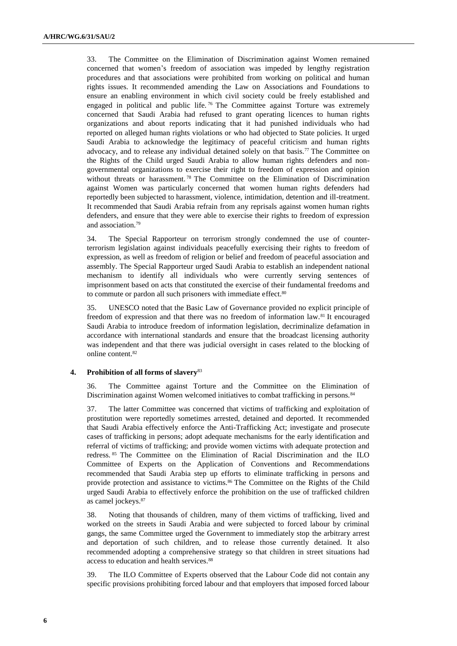33. The Committee on the Elimination of Discrimination against Women remained concerned that women's freedom of association was impeded by lengthy registration procedures and that associations were prohibited from working on political and human rights issues. It recommended amending the Law on Associations and Foundations to ensure an enabling environment in which civil society could be freely established and engaged in political and public life.<sup>76</sup> The Committee against Torture was extremely concerned that Saudi Arabia had refused to grant operating licences to human rights organizations and about reports indicating that it had punished individuals who had reported on alleged human rights violations or who had objected to State policies. It urged Saudi Arabia to acknowledge the legitimacy of peaceful criticism and human rights advocacy, and to release any individual detained solely on that basis.<sup>77</sup> The Committee on the Rights of the Child urged Saudi Arabia to allow human rights defenders and nongovernmental organizations to exercise their right to freedom of expression and opinion without threats or harassment. <sup>78</sup> The Committee on the Elimination of Discrimination against Women was particularly concerned that women human rights defenders had reportedly been subjected to harassment, violence, intimidation, detention and ill-treatment. It recommended that Saudi Arabia refrain from any reprisals against women human rights defenders, and ensure that they were able to exercise their rights to freedom of expression and association.<sup>79</sup>

34. The Special Rapporteur on terrorism strongly condemned the use of counterterrorism legislation against individuals peacefully exercising their rights to freedom of expression, as well as freedom of religion or belief and freedom of peaceful association and assembly. The Special Rapporteur urged Saudi Arabia to establish an independent national mechanism to identify all individuals who were currently serving sentences of imprisonment based on acts that constituted the exercise of their fundamental freedoms and to commute or pardon all such prisoners with immediate effect.<sup>80</sup>

35. UNESCO noted that the Basic Law of Governance provided no explicit principle of freedom of expression and that there was no freedom of information law.<sup>81</sup> It encouraged Saudi Arabia to introduce freedom of information legislation, decriminalize defamation in accordance with international standards and ensure that the broadcast licensing authority was independent and that there was judicial oversight in cases related to the blocking of online content.<sup>82</sup>

#### **4. Prohibition of all forms of slavery**<sup>83</sup>

36. The Committee against Torture and the Committee on the Elimination of Discrimination against Women welcomed initiatives to combat trafficking in persons.<sup>84</sup>

37. The latter Committee was concerned that victims of trafficking and exploitation of prostitution were reportedly sometimes arrested, detained and deported. It recommended that Saudi Arabia effectively enforce the Anti-Trafficking Act; investigate and prosecute cases of trafficking in persons; adopt adequate mechanisms for the early identification and referral of victims of trafficking; and provide women victims with adequate protection and redress. <sup>85</sup> The Committee on the Elimination of Racial Discrimination and the ILO Committee of Experts on the Application of Conventions and Recommendations recommended that Saudi Arabia step up efforts to eliminate trafficking in persons and provide protection and assistance to victims.<sup>86</sup> The Committee on the Rights of the Child urged Saudi Arabia to effectively enforce the prohibition on the use of trafficked children as camel jockeys.<sup>87</sup>

38. Noting that thousands of children, many of them victims of trafficking, lived and worked on the streets in Saudi Arabia and were subjected to forced labour by criminal gangs, the same Committee urged the Government to immediately stop the arbitrary arrest and deportation of such children, and to release those currently detained. It also recommended adopting a comprehensive strategy so that children in street situations had access to education and health services.<sup>88</sup>

39. The ILO Committee of Experts observed that the Labour Code did not contain any specific provisions prohibiting forced labour and that employers that imposed forced labour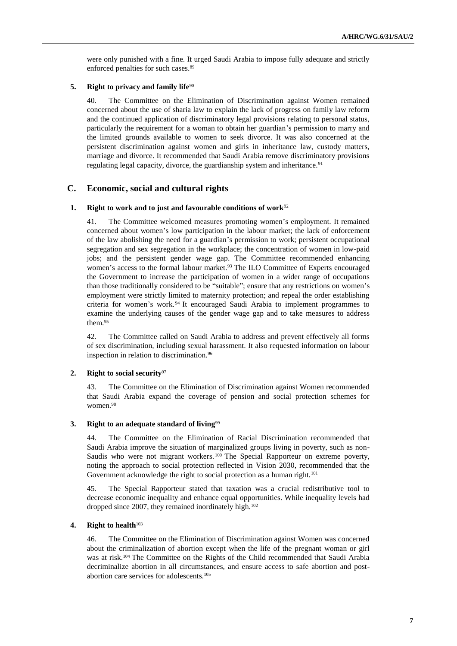were only punished with a fine. It urged Saudi Arabia to impose fully adequate and strictly enforced penalties for such cases.<sup>89</sup>

#### **5. Right to privacy and family life**<sup>90</sup>

40. The Committee on the Elimination of Discrimination against Women remained concerned about the use of sharia law to explain the lack of progress on family law reform and the continued application of discriminatory legal provisions relating to personal status, particularly the requirement for a woman to obtain her guardian's permission to marry and the limited grounds available to women to seek divorce. It was also concerned at the persistent discrimination against women and girls in inheritance law, custody matters, marriage and divorce. It recommended that Saudi Arabia remove discriminatory provisions regulating legal capacity, divorce, the guardianship system and inheritance.<sup>91</sup>

## **C. Economic, social and cultural rights**

## **1. Right to work and to just and favourable conditions of work**<sup>92</sup>

41. The Committee welcomed measures promoting women's employment. It remained concerned about women's low participation in the labour market; the lack of enforcement of the law abolishing the need for a guardian's permission to work; persistent occupational segregation and sex segregation in the workplace; the concentration of women in low-paid jobs; and the persistent gender wage gap. The Committee recommended enhancing women's access to the formal labour market.<sup>93</sup> The ILO Committee of Experts encouraged the Government to increase the participation of women in a wider range of occupations than those traditionally considered to be "suitable"; ensure that any restrictions on women's employment were strictly limited to maternity protection; and repeal the order establishing criteria for women's work. <sup>94</sup> It encouraged Saudi Arabia to implement programmes to examine the underlying causes of the gender wage gap and to take measures to address them.<sup>95</sup>

42. The Committee called on Saudi Arabia to address and prevent effectively all forms of sex discrimination, including sexual harassment. It also requested information on labour inspection in relation to discrimination.<sup>96</sup>

#### **2. Right to social security**<sup>97</sup>

43. The Committee on the Elimination of Discrimination against Women recommended that Saudi Arabia expand the coverage of pension and social protection schemes for women.<sup>98</sup>

#### **3. Right to an adequate standard of living**<sup>99</sup>

44. The Committee on the Elimination of Racial Discrimination recommended that Saudi Arabia improve the situation of marginalized groups living in poverty, such as non-Saudis who were not migrant workers.<sup>100</sup> The Special Rapporteur on extreme poverty, noting the approach to social protection reflected in Vision 2030, recommended that the Government acknowledge the right to social protection as a human right.<sup>101</sup>

45. The Special Rapporteur stated that taxation was a crucial redistributive tool to decrease economic inequality and enhance equal opportunities. While inequality levels had dropped since 2007, they remained inordinately high.<sup>102</sup>

#### **4. Right to health**<sup>103</sup>

46. The Committee on the Elimination of Discrimination against Women was concerned about the criminalization of abortion except when the life of the pregnant woman or girl was at risk.<sup>104</sup> The Committee on the Rights of the Child recommended that Saudi Arabia decriminalize abortion in all circumstances, and ensure access to safe abortion and postabortion care services for adolescents.105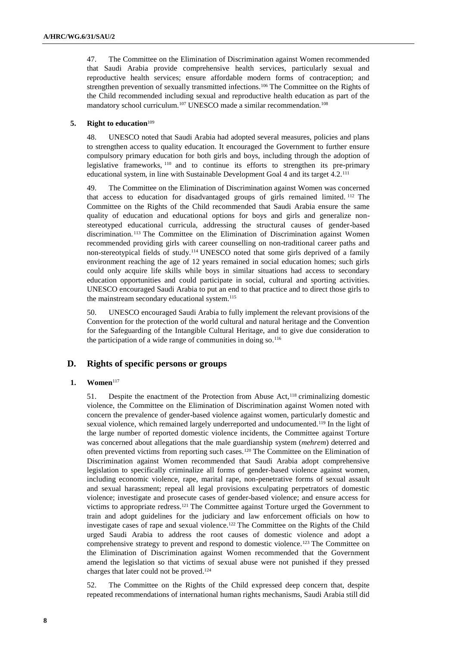47. The Committee on the Elimination of Discrimination against Women recommended that Saudi Arabia provide comprehensive health services, particularly sexual and reproductive health services; ensure affordable modern forms of contraception; and strengthen prevention of sexually transmitted infections.<sup>106</sup> The Committee on the Rights of the Child recommended including sexual and reproductive health education as part of the mandatory school curriculum.<sup>107</sup> UNESCO made a similar recommendation.<sup>108</sup>

#### **5. Right to education**<sup>109</sup>

48. UNESCO noted that Saudi Arabia had adopted several measures, policies and plans to strengthen access to quality education. It encouraged the Government to further ensure compulsory primary education for both girls and boys, including through the adoption of legislative frameworks, <sup>110</sup> and to continue its efforts to strengthen its pre-primary educational system, in line with Sustainable Development Goal 4 and its target 4.2.<sup>111</sup>

49. The Committee on the Elimination of Discrimination against Women was concerned that access to education for disadvantaged groups of girls remained limited. <sup>112</sup> The Committee on the Rights of the Child recommended that Saudi Arabia ensure the same quality of education and educational options for boys and girls and generalize nonstereotyped educational curricula, addressing the structural causes of gender-based discrimination. <sup>113</sup> The Committee on the Elimination of Discrimination against Women recommended providing girls with career counselling on non-traditional career paths and non-stereotypical fields of study.<sup>114</sup> UNESCO noted that some girls deprived of a family environment reaching the age of 12 years remained in social education homes; such girls could only acquire life skills while boys in similar situations had access to secondary education opportunities and could participate in social, cultural and sporting activities. UNESCO encouraged Saudi Arabia to put an end to that practice and to direct those girls to the mainstream secondary educational system.<sup>115</sup>

50. UNESCO encouraged Saudi Arabia to fully implement the relevant provisions of the Convention for the protection of the world cultural and natural heritage and the Convention for the Safeguarding of the Intangible Cultural Heritage, and to give due consideration to the participation of a wide range of communities in doing  $so.^{116}$ 

## **D. Rights of specific persons or groups**

#### **1. Women**<sup>117</sup>

51. Despite the enactment of the Protection from Abuse Act,<sup>118</sup> criminalizing domestic violence, the Committee on the Elimination of Discrimination against Women noted with concern the prevalence of gender-based violence against women, particularly domestic and sexual violence, which remained largely underreported and undocumented.<sup>119</sup> In the light of the large number of reported domestic violence incidents, the Committee against Torture was concerned about allegations that the male guardianship system (*mehrem*) deterred and often prevented victims from reporting such cases.<sup>120</sup> The Committee on the Elimination of Discrimination against Women recommended that Saudi Arabia adopt comprehensive legislation to specifically criminalize all forms of gender-based violence against women, including economic violence, rape, marital rape, non-penetrative forms of sexual assault and sexual harassment; repeal all legal provisions exculpating perpetrators of domestic violence; investigate and prosecute cases of gender-based violence; and ensure access for victims to appropriate redress.<sup>121</sup> The Committee against Torture urged the Government to train and adopt guidelines for the judiciary and law enforcement officials on how to investigate cases of rape and sexual violence.<sup>122</sup> The Committee on the Rights of the Child urged Saudi Arabia to address the root causes of domestic violence and adopt a comprehensive strategy to prevent and respond to domestic violence.<sup>123</sup> The Committee on the Elimination of Discrimination against Women recommended that the Government amend the legislation so that victims of sexual abuse were not punished if they pressed charges that later could not be proved.<sup>124</sup>

52. The Committee on the Rights of the Child expressed deep concern that, despite repeated recommendations of international human rights mechanisms, Saudi Arabia still did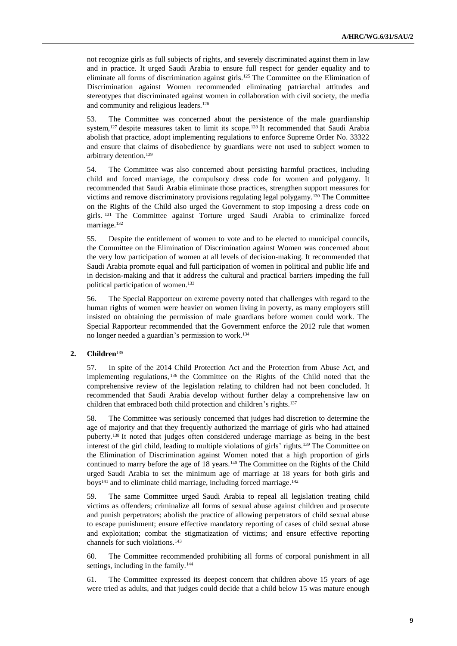not recognize girls as full subjects of rights, and severely discriminated against them in law and in practice. It urged Saudi Arabia to ensure full respect for gender equality and to eliminate all forms of discrimination against girls.<sup>125</sup> The Committee on the Elimination of Discrimination against Women recommended eliminating patriarchal attitudes and stereotypes that discriminated against women in collaboration with civil society, the media and community and religious leaders.<sup>126</sup>

53. The Committee was concerned about the persistence of the male guardianship system,<sup>127</sup> despite measures taken to limit its scope.<sup>128</sup> It recommended that Saudi Arabia abolish that practice, adopt implementing regulations to enforce Supreme Order No. 33322 and ensure that claims of disobedience by guardians were not used to subject women to arbitrary detention.<sup>129</sup>

54. The Committee was also concerned about persisting harmful practices, including child and forced marriage, the compulsory dress code for women and polygamy. It recommended that Saudi Arabia eliminate those practices, strengthen support measures for victims and remove discriminatory provisions regulating legal polygamy.<sup>130</sup> The Committee on the Rights of the Child also urged the Government to stop imposing a dress code on girls. <sup>131</sup> The Committee against Torture urged Saudi Arabia to criminalize forced marriage.<sup>132</sup>

55. Despite the entitlement of women to vote and to be elected to municipal councils, the Committee on the Elimination of Discrimination against Women was concerned about the very low participation of women at all levels of decision-making. It recommended that Saudi Arabia promote equal and full participation of women in political and public life and in decision-making and that it address the cultural and practical barriers impeding the full political participation of women.<sup>133</sup>

56. The Special Rapporteur on extreme poverty noted that challenges with regard to the human rights of women were heavier on women living in poverty, as many employers still insisted on obtaining the permission of male guardians before women could work. The Special Rapporteur recommended that the Government enforce the 2012 rule that women no longer needed a guardian's permission to work.<sup>134</sup>

#### **2. Children**<sup>135</sup>

57. In spite of the 2014 Child Protection Act and the Protection from Abuse Act, and implementing regulations, <sup>136</sup> the Committee on the Rights of the Child noted that the comprehensive review of the legislation relating to children had not been concluded. It recommended that Saudi Arabia develop without further delay a comprehensive law on children that embraced both child protection and children's rights.<sup>137</sup>

58. The Committee was seriously concerned that judges had discretion to determine the age of majority and that they frequently authorized the marriage of girls who had attained puberty.<sup>138</sup> It noted that judges often considered underage marriage as being in the best interest of the girl child, leading to multiple violations of girls' rights.<sup>139</sup> The Committee on the Elimination of Discrimination against Women noted that a high proportion of girls continued to marry before the age of 18 years.<sup>140</sup> The Committee on the Rights of the Child urged Saudi Arabia to set the minimum age of marriage at 18 years for both girls and boys<sup>141</sup> and to eliminate child marriage, including forced marriage.<sup>142</sup>

59. The same Committee urged Saudi Arabia to repeal all legislation treating child victims as offenders; criminalize all forms of sexual abuse against children and prosecute and punish perpetrators; abolish the practice of allowing perpetrators of child sexual abuse to escape punishment; ensure effective mandatory reporting of cases of child sexual abuse and exploitation; combat the stigmatization of victims; and ensure effective reporting channels for such violations.<sup>143</sup>

60. The Committee recommended prohibiting all forms of corporal punishment in all settings, including in the family.<sup>144</sup>

61. The Committee expressed its deepest concern that children above 15 years of age were tried as adults, and that judges could decide that a child below 15 was mature enough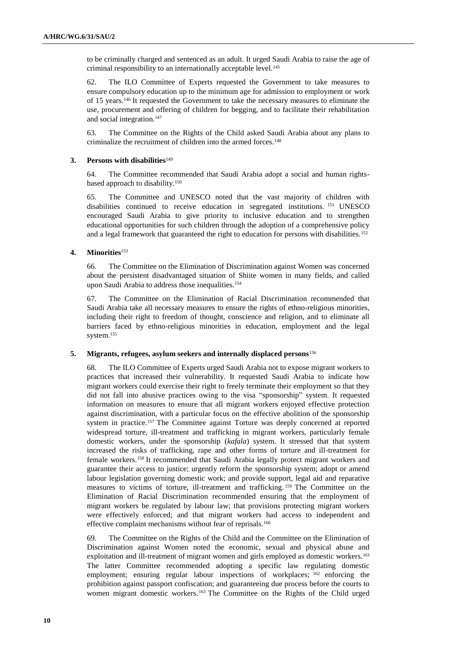to be criminally charged and sentenced as an adult. It urged Saudi Arabia to raise the age of criminal responsibility to an internationally acceptable level.<sup>145</sup>

62. The ILO Committee of Experts requested the Government to take measures to ensure compulsory education up to the minimum age for admission to employment or work of 15 years.<sup>146</sup> It requested the Government to take the necessary measures to eliminate the use, procurement and offering of children for begging, and to facilitate their rehabilitation and social integration.<sup>147</sup>

63. The Committee on the Rights of the Child asked Saudi Arabia about any plans to criminalize the recruitment of children into the armed forces.<sup>148</sup>

#### **3. Persons with disabilities**<sup>149</sup>

64. The Committee recommended that Saudi Arabia adopt a social and human rightsbased approach to disability.<sup>150</sup>

65. The Committee and UNESCO noted that the vast majority of children with disabilities continued to receive education in segregated institutions. <sup>151</sup> UNESCO encouraged Saudi Arabia to give priority to inclusive education and to strengthen educational opportunities for such children through the adoption of a comprehensive policy and a legal framework that guaranteed the right to education for persons with disabilities.<sup>152</sup>

#### **4. Minorities**<sup>153</sup>

66. The Committee on the Elimination of Discrimination against Women was concerned about the persistent disadvantaged situation of Shiite women in many fields, and called upon Saudi Arabia to address those inequalities.<sup>154</sup>

67. The Committee on the Elimination of Racial Discrimination recommended that Saudi Arabia take all necessary measures to ensure the rights of ethno-religious minorities, including their right to freedom of thought, conscience and religion, and to eliminate all barriers faced by ethno-religious minorities in education, employment and the legal system.<sup>155</sup>

#### **5. Migrants, refugees, asylum seekers and internally displaced persons**<sup>156</sup>

68. The ILO Committee of Experts urged Saudi Arabia not to expose migrant workers to practices that increased their vulnerability. It requested Saudi Arabia to indicate how migrant workers could exercise their right to freely terminate their employment so that they did not fall into abusive practices owing to the visa "sponsorship" system. It requested information on measures to ensure that all migrant workers enjoyed effective protection against discrimination, with a particular focus on the effective abolition of the sponsorship system in practice.<sup>157</sup> The Committee against Torture was deeply concerned at reported widespread torture, ill-treatment and trafficking in migrant workers, particularly female domestic workers, under the sponsorship (*kafala*) system. It stressed that that system increased the risks of trafficking, rape and other forms of torture and ill-treatment for female workers.<sup>158</sup> It recommended that Saudi Arabia legally protect migrant workers and guarantee their access to justice; urgently reform the sponsorship system; adopt or amend labour legislation governing domestic work; and provide support, legal aid and reparative measures to victims of torture, ill-treatment and trafficking. <sup>159</sup> The Committee on the Elimination of Racial Discrimination recommended ensuring that the employment of migrant workers be regulated by labour law; that provisions protecting migrant workers were effectively enforced; and that migrant workers had access to independent and effective complaint mechanisms without fear of reprisals.<sup>160</sup>

69. The Committee on the Rights of the Child and the Committee on the Elimination of Discrimination against Women noted the economic, sexual and physical abuse and exploitation and ill-treatment of migrant women and girls employed as domestic workers.<sup>161</sup> The latter Committee recommended adopting a specific law regulating domestic employment; ensuring regular labour inspections of workplaces; <sup>162</sup> enforcing the prohibition against passport confiscation; and guaranteeing due process before the courts to women migrant domestic workers. <sup>163</sup> The Committee on the Rights of the Child urged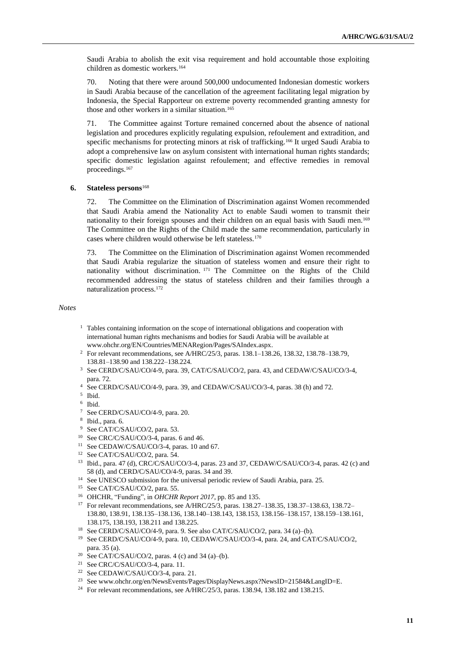Saudi Arabia to abolish the exit visa requirement and hold accountable those exploiting children as domestic workers.<sup>164</sup>

70. Noting that there were around 500,000 undocumented Indonesian domestic workers in Saudi Arabia because of the cancellation of the agreement facilitating legal migration by Indonesia, the Special Rapporteur on extreme poverty recommended granting amnesty for those and other workers in a similar situation.<sup>165</sup>

71. The Committee against Torture remained concerned about the absence of national legislation and procedures explicitly regulating expulsion, refoulement and extradition, and specific mechanisms for protecting minors at risk of trafficking.<sup>166</sup> It urged Saudi Arabia to adopt a comprehensive law on asylum consistent with international human rights standards; specific domestic legislation against refoulement; and effective remedies in removal proceedings.<sup>167</sup>

#### **6. Stateless persons**<sup>168</sup>

72. The Committee on the Elimination of Discrimination against Women recommended that Saudi Arabia amend the Nationality Act to enable Saudi women to transmit their nationality to their foreign spouses and their children on an equal basis with Saudi men.<sup>169</sup> The Committee on the Rights of the Child made the same recommendation, particularly in cases where children would otherwise be left stateless.<sup>170</sup>

73. The Committee on the Elimination of Discrimination against Women recommended that Saudi Arabia regularize the situation of stateless women and ensure their right to nationality without discrimination. <sup>171</sup> The Committee on the Rights of the Child recommended addressing the status of stateless children and their families through a naturalization process.<sup>172</sup>

*Notes*

- <sup>1</sup> Tables containing information on the scope of international obligations and cooperation with international human rights mechanisms and bodies for Saudi Arabia will be available at [www.ohchr.org/EN/Countries/MENARegion/Pages/SAIndex.aspx.](file://///conf-share1/conf/Groups/Editing%20Section/HR%20editors/Edgar/www.ohchr.org/EN/Countries/MENARegion/Pages/SAIndex.aspx)
- <sup>2</sup> For relevant recommendations, see A/HRC/25/3, paras. 138.1–138.26, 138.32, 138.78–138.79, 138.81–138.90 and 138.222–138.224.
- <sup>3</sup> See CERD/C/SAU/CO/4-9, para. 39, CAT/C/SAU/CO/2, para. 43, and CEDAW/C/SAU/CO/3-4, para. 72.
- <sup>4</sup> See CERD/C/SAU/CO/4-9, para. 39, and CEDAW/C/SAU/CO/3-4, paras. 38 (h) and 72.
- 5 Ibid.
- 6 Ibid.
- <sup>7</sup> See CERD/C/SAU/CO/4-9, para. 20.
- 8 Ibid., para. 6.
- <sup>9</sup> See CAT/C/SAU/CO/2, para. 53.
- <sup>10</sup> See CRC/C/SAU/CO/3-4, paras. 6 and 46.
- <sup>11</sup> See CEDAW/C/SAU/CO/3-4, paras. 10 and 67.
- <sup>12</sup> See CAT/C/SAU/CO/2, para. 54.
- <sup>13</sup> Ibid., para. 47 (d), CRC/C/SAU/CO/3-4, paras. 23 and 37, CEDAW/C/SAU/CO/3-4, paras. 42 (c) and 58 (d), and CERD/C/SAU/CO/4-9, paras. 34 and 39.
- <sup>14</sup> See UNESCO submission for the universal periodic review of Saudi Arabia, para. 25.
- <sup>15</sup> See CAT/C/SAU/CO/2, para. 55.
- <sup>16</sup> OHCHR, "Funding", in *OHCHR Report 2017*, pp. 85 and 135.
- <sup>17</sup> For relevant recommendations, see A/HRC/25/3, paras. 138.27–138.35, 138.37–138.63, 138.72– 138.80, 138.91, 138.135–138.136, 138.140–138.143, 138.153, 138.156–138.157, 138.159–138.161, 138.175, 138.193, 138.211 and 138.225.
- <sup>18</sup> See CERD/C/SAU/CO/4-9, para. 9. See also CAT/C/SAU/CO/2, para. 34 (a)–(b).
- <sup>19</sup> See CERD/C/SAU/CO/4-9, para. 10, CEDAW/C/SAU/CO/3-4, para. 24, and CAT/C/SAU/CO/2, para. 35 (a).
- <sup>20</sup> See CAT/C/SAU/CO/2, paras. 4 (c) and 34 (a)–(b).
- <sup>21</sup> See CRC/C/SAU/CO/3-4, para. 11.
- <sup>22</sup> See CEDAW/C/SAU/CO/3-4, para. 21.
- <sup>23</sup> See www.ohchr.org/en/NewsEvents/Pages/DisplayNews.aspx?NewsID=21584&LangID=E.
- <sup>24</sup> For relevant recommendations, see A/HRC/25/3, paras. 138.94, 138.182 and 138.215.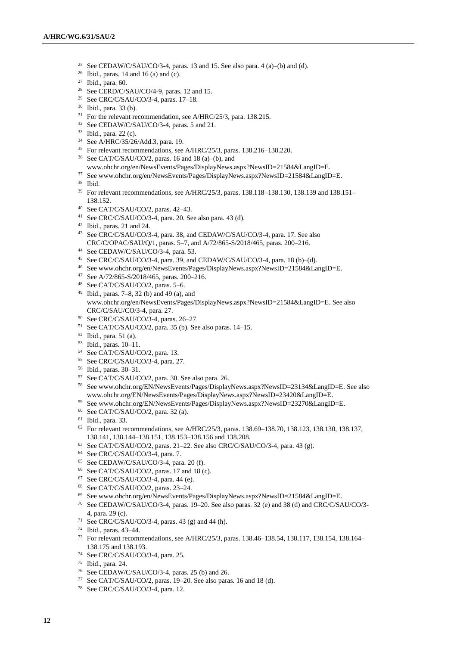- <sup>25</sup> See CEDAW/C/SAU/CO/3-4, paras. 13 and 15. See also para. 4 (a)–(b) and (d).
- <sup>26</sup> Ibid., paras. 14 and 16 (a) and (c).
- Ibid., para. 60.
- <sup>28</sup> See CERD/C/SAU/CO/4-9, paras. 12 and 15.
- See CRC/C/SAU/CO/3-4, paras. 17–18.
- Ibid., para. 33 (b).
- For the relevant recommendation, see A/HRC/25/3, para. 138.215.
- See CEDAW/C/SAU/CO/3-4, paras. 5 and 21.
- Ibid., para. 22 (c).
- See A/HRC/35/26/Add.3, para. 19.
- For relevant recommendations, see A/HRC/25/3, paras. 138.216–138.220.
- See CAT/C/SAU/CO/2, paras. 16 and 18 (a)–(b), and
- www.ohchr.org/en/NewsEvents/Pages/DisplayNews.aspx?NewsID=21584&LangID=E.
- See www.ohchr.org/en/NewsEvents/Pages/DisplayNews.aspx?NewsID=21584&LangID=E.
- Ibid.
- For relevant recommendations, see A/HRC/25/3, paras. 138.118–138.130, 138.139 and 138.151– 138.152.
- See CAT/C/SAU/CO/2, paras. 42–43.
- See CRC/C/SAU/CO/3-4, para. 20. See also para. 43 (d).
- Ibid., paras. 21 and 24.

 See CRC/C/SAU/CO/3-4, para. 38, and CEDAW/C/SAU/CO/3-4, para. 17. See also CRC/C/OPAC/SAU/Q/1, paras. 5–7, and A/72/865-S/2018/465, paras. 200–216.

- See CEDAW/C/SAU/CO/3-4, para. 53.
- See CRC/C/SAU/CO/3-4, para. 39, and CEDAW/C/SAU/CO/3-4, para. 18 (b)–(d).
- See www.ohchr.org/en/NewsEvents/Pages/DisplayNews.aspx?NewsID=21584&LangID=E.
- See A/72/865-S/2018/465, paras. 200–216.
- See CAT/C/SAU/CO/2, paras. 5–6.
- 49 Ibid., paras.  $7-8$ , 32 (b) and 49 (a), and www.ohchr.org/en/NewsEvents/Pages/DisplayNews.aspx?NewsID=21584&LangID=E. See also CRC/C/SAU/CO/3-4, para. 27.
- See CRC/C/SAU/CO/3-4, paras. 26–27.
- See CAT/C/SAU/CO/2, para. 35 (b). See also paras. 14–15.
- Ibid., para. 51 (a).
- Ibid., paras. 10–11.
- See CAT/C/SAU/CO/2, para. 13.
- See CRC/C/SAU/CO/3-4, para. 27.
- Ibid., paras. 30–31.
- See CAT/C/SAU/CO/2, para. 30. See also para. 26.
- See www.ohchr.org/EN/NewsEvents/Pages/DisplayNews.aspx?NewsID=23134&LangID=E. See also www.ohchr.org/EN/NewsEvents/Pages/DisplayNews.aspx?NewsID=23420&LangID=E.
- See www.ohchr.org/EN/NewsEvents/Pages/DisplayNews.aspx?NewsID=23270&LangID=E.
- See CAT/C/SAU/CO/2, para. 32 (a).
- Ibid., para. 33.
- For relevant recommendations, see A/HRC/25/3, paras. 138.69–138.70, 138.123, 138.130, 138.137, 138.141, 138.144–138.151, 138.153–138.156 and 138.208.
- See CAT/C/SAU/CO/2, paras. 21–22. See also CRC/C/SAU/CO/3-4, para. 43 (g).
- See CRC/C/SAU/CO/3-4, para. 7.
- See CEDAW/C/SAU/CO/3-4, para. 20 (f).
- See CAT/C/SAU/CO/2, paras. 17 and 18 (c).
- See CRC/C/SAU/CO/3-4, para. 44 (e).
- See CAT/C/SAU/CO/2, paras. 23–24.
- See www.ohchr.org/en/NewsEvents/Pages/DisplayNews.aspx?NewsID=21584&LangID=E.
- See CEDAW/C/SAU/CO/3-4, paras. 19–20. See also paras. 32 (e) and 38 (d) and CRC/C/SAU/CO/3- 4, para. 29 (c).
- <sup>71</sup> See CRC/C/SAU/CO/3-4, paras. 43 (g) and 44 (h).
- Ibid., paras. 43–44.
- For relevant recommendations, see A/HRC/25/3, paras. 138.46–138.54, 138.117, 138.154, 138.164– 138.175 and 138.193.
- See CRC/C/SAU/CO/3-4, para. 25.
- Ibid., para. 24.
- See CEDAW/C/SAU/CO/3-4, paras. 25 (b) and 26.
- See CAT/C/SAU/CO/2, paras. 19–20. See also paras. 16 and 18 (d).
- See CRC/C/SAU/CO/3-4, para. 12.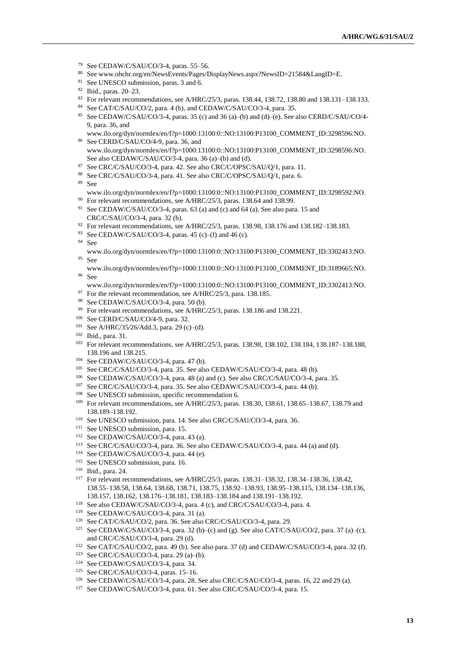- <sup>79</sup> See CEDAW/C/SAU/CO/3-4, paras. 55–56.<br><sup>80</sup> See www.obshr.org/en/NewsEvents/Pages/F
- See www.ohchr.org/en/NewsEvents/Pages/DisplayNews.aspx?NewsID=21584&LangID=E.
- <sup>81</sup> See UNESCO submission, paras. 3 and 6.
- <sup>82</sup> Ibid., paras. 20–23.
- <sup>83</sup> For relevant recommendations, see A/HRC/25/3, paras. 138.44, 138.72, 138.80 and 138.131–138.133.
- <sup>84</sup> See CAT/C/SAU/CO/2, para. 4 (b), and CEDAW/C/SAU/CO/3-4, para. 35.
- <sup>85</sup> See CEDAW/C/SAU/CO/3-4, paras. 35 (c) and 36 (a)–(b) and (d)–(e). See also CERD/C/SAU/CO/4- 9, para. 36, and
- [www.ilo.org/dyn/normlex/en/f?p=1000:13100:0::NO:13100:P13100\\_COMMENT\\_ID:3298596:NO.](http://www.ilo.org/dyn/normlex/en/f?p=1000:13100:0::NO:13100:P13100_COMMENT_ID:3298596:NO) <sup>86</sup> See CERD/C/SAU/CO/4-9, para. 36, and
- [www.ilo.org/dyn/normlex/en/f?p=1000:13100:0::NO:13100:P13100\\_COMMENT\\_ID:3298596:NO.](http://www.ilo.org/dyn/normlex/en/f?p=1000:13100:0::NO:13100:P13100_COMMENT_ID:3298596:NO)  See also CEDAW/C/SAU/CO/3-4, para. 36 (a)–(b) and (d).
- <sup>87</sup> See CRC/C/SAU/CO/3-4, para. 42. See also CRC/C/OPSC/SAU/Q/1, para. 11.
- <sup>88</sup> See CRC/C/SAU/CO/3-4, para. 41. See also CRC/C/OPSC/SAU/Q/1, para. 6.
- <sup>89</sup> See
	- [www.ilo.org/dyn/normlex/en/f?p=1000:13100:0::NO:13100:P13100\\_COMMENT\\_ID:3298592:NO.](http://www.ilo.org/dyn/normlex/en/f?p=1000:13100:0::NO:13100:P13100_COMMENT_ID:3298592:NO)
- <sup>90</sup> For relevant recommendations, see A/HRC/25/3, paras. 138.64 and 138.99.
- <sup>91</sup> See CEDAW/C/SAU/CO/3-4, paras. 63 (a) and (c) and 64 (a). See also para. 15 and CRC/C/SAU/CO/3-4, para. 32 (b).
- <sup>92</sup> For relevant recommendations, see A/HRC/25/3, paras. 138.98, 138.176 and 138.182–138.183.
- <sup>93</sup> See CEDAW/C/SAU/CO/3-4, paras. 45 (c)–(f) and 46 (c).
- <sup>94</sup> See
- [www.ilo.org/dyn/normlex/en/f?p=1000:13100:0::NO:13100:P13100\\_COMMENT\\_ID:3302413:NO.](http://www.ilo.org/dyn/normlex/en/f?p=1000:13100:0::NO:13100:P13100_COMMENT_ID:3302413:NO) <sup>95</sup> See
- [www.ilo.org/dyn/normlex/en/f?p=1000:13100:0::NO:13100:P13100\\_COMMENT\\_ID:3189665:NO.](http://www.ilo.org/dyn/normlex/en/f?p=1000:13100:0::NO:13100:P13100_COMMENT_ID:3189665:NO) <sup>96</sup> See
- [www.ilo.org/dyn/normlex/en/f?p=1000:13100:0::NO:13100:P13100\\_COMMENT\\_ID:3302413:NO.](http://www.ilo.org/dyn/normlex/en/f?p=1000:13100:0::NO:13100:P13100_COMMENT_ID:3302413:NO)
- $97$  For the relevant recommendation, see A/HRC/25/3, para. 138.185.
- <sup>98</sup> See CEDAW/C/SAU/CO/3-4, para. 50 (b).
- <sup>99</sup> For relevant recommendations, see A/HRC/25/3, paras. 138.186 and 138.221.
- <sup>100</sup> See CERD/C/SAU/CO/4-9, para. 32.
- <sup>101</sup> See A/HRC/35/26/Add.3, para. 29 (c)–(d).
- <sup>102</sup> Ibid., para. 31.
- <sup>103</sup> For relevant recommendations, see A/HRC/25/3, paras. 138.98, 138.102, 138.184, 138.187–138.188, 138.196 and 138.215.
- <sup>104</sup> See CEDAW/C/SAU/CO/3-4, para. 47 (b).
- <sup>105</sup> See CRC/C/SAU/CO/3-4, para. 35. See also CEDAW/C/SAU/CO/3-4, para. 48 (b).
- <sup>106</sup> See CEDAW/C/SAU/CO/3-4, para. 48 (a) and (c). See also CRC/C/SAU/CO/3-4, para. 35.
- <sup>107</sup> See CRC/C/SAU/CO/3-4, para. 35. See also CEDAW/C/SAU/CO/3-4, para. 44 (b).
- <sup>108</sup> See UNESCO submission, specific recommendation 6.
- <sup>109</sup> For relevant recommendations, see A/HRC/25/3, paras. 138.30, 138.61, 138.65–138.67, 138.79 and 138.189–138.192.
- <sup>110</sup> See UNESCO submission, para. 14. See also CRC/C/SAU/CO/3-4, para. 36.
- <sup>111</sup> See UNESCO submission, para. 15.
- $112$  See CEDAW/C/SAU/CO/3-4, para. 43 (a).
- <sup>113</sup> See CRC/C/SAU/CO/3-4, para. 36. See also CEDAW/C/SAU/CO/3-4, para. 44 (a) and (d).
- <sup>114</sup> See CEDAW/C/SAU/CO/3-4, para. 44 (e).
- <sup>115</sup> See UNESCO submission, para. 16.
- <sup>116</sup> Ibid., para. 24.
- <sup>117</sup> For relevant recommendations, see A/HRC/25/3, paras. 138.31–138.32, 138.34–138.36, 138.42, 138.55–138.58, 138.64, 138.68, 138.71, 138.75, 138.92–138.93, 138.95–138.115, 138.134–138.136, 138.157, 138.162, 138.176–138.181, 138.183–138.184 and 138.191–138.192.
- <sup>118</sup> See also CEDAW/C/SAU/CO/3-4, para. 4 (c), and CRC/C/SAU/CO/3-4, para. 4.
- <sup>119</sup> See CEDAW/C/SAU/CO/3-4, para. 31 (a).
- <sup>120</sup> See CAT/C/SAU/CO/2, para. 36. See also CRC/C/SAU/CO/3-4, para. 29.
- <sup>121</sup> See CEDAW/C/SAU/CO/3-4, para. 32 (b)–(c) and (g). See also CAT/C/SAU/CO/2, para. 37 (a)–(c), and CRC/C/SAU/CO/3-4, para. 29 (d).
- <sup>122</sup> See CAT/C/SAU/CO/2, para. 49 (b). See also para. 37 (d) and CEDAW/C/SAU/CO/3-4, para. 32 (f).
- <sup>123</sup> See CRC/C/SAU/CO/3-4, para. 29 (a)–(b).
- <sup>124</sup> See CEDAW/C/SAU/CO/3-4, para. 34.
- <sup>125</sup> See CRC/C/SAU/CO/3-4, paras. 15–16.
- <sup>126</sup> See CEDAW/C/SAU/CO/3-4, para. 28. See also CRC/C/SAU/CO/3-4, paras. 16, 22 and 29 (a).
- <sup>127</sup> See CEDAW/C/SAU/CO/3-4, para. 61. See also CRC/C/SAU/CO/3-4, para. 15.